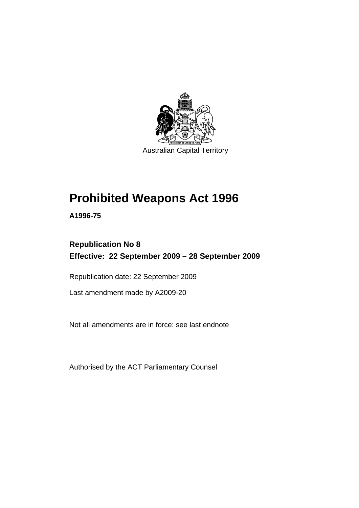

# **[Prohibited Weapons Act 1996](#page-6-0)**

**A1996-75** 

# **Republication No 8 Effective: 22 September 2009 – 28 September 2009**

Republication date: 22 September 2009

Last amendment made by A2009-20

Not all amendments are in force: see last endnote

Authorised by the ACT Parliamentary Counsel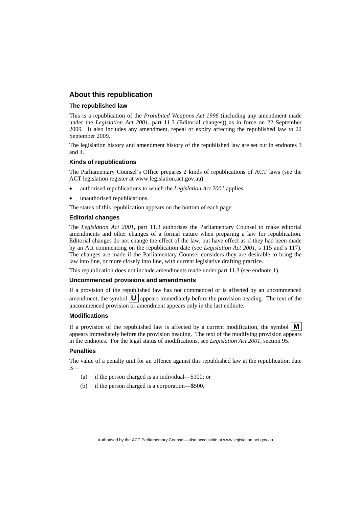#### **About this republication**

#### **The republished law**

This is a republication of the *Prohibited Weapons Act 1996* (including any amendment made under the *Legislation Act 2001*, part 11.3 (Editorial changes)) as in force on 22 September 2009*.* It also includes any amendment, repeal or expiry affecting the republished law to 22 September 2009.

The legislation history and amendment history of the republished law are set out in endnotes 3 and 4.

#### **Kinds of republications**

The Parliamentary Counsel's Office prepares 2 kinds of republications of ACT laws (see the ACT legislation register at www.legislation.act.gov.au):

- authorised republications to which the *Legislation Act 2001* applies
- unauthorised republications.

The status of this republication appears on the bottom of each page.

#### **Editorial changes**

The *Legislation Act 2001*, part 11.3 authorises the Parliamentary Counsel to make editorial amendments and other changes of a formal nature when preparing a law for republication. Editorial changes do not change the effect of the law, but have effect as if they had been made by an Act commencing on the republication date (see *Legislation Act 2001*, s 115 and s 117). The changes are made if the Parliamentary Counsel considers they are desirable to bring the law into line, or more closely into line, with current legislative drafting practice.

This republication does not include amendments made under part 11.3 (see endnote 1).

#### **Uncommenced provisions and amendments**

If a provision of the republished law has not commenced or is affected by an uncommenced amendment, the symbol  $\mathbf{U}$  appears immediately before the provision heading. The text of the uncommenced provision or amendment appears only in the last endnote.

#### **Modifications**

If a provision of the republished law is affected by a current modification, the symbol  $\mathbf{M}$ appears immediately before the provision heading. The text of the modifying provision appears in the endnotes. For the legal status of modifications, see *Legislation Act 2001*, section 95.

#### **Penalties**

The value of a penalty unit for an offence against this republished law at the republication date is—

- (a) if the person charged is an individual—\$100; or
- (b) if the person charged is a corporation—\$500.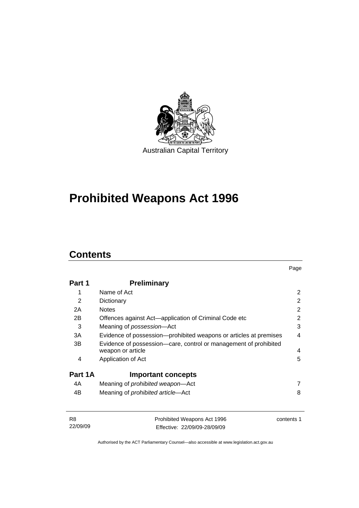

# **[Prohibited Weapons Act 1996](#page-6-0)**

# **Contents**

| Part 1  | <b>Preliminary</b>                                                                    |                |
|---------|---------------------------------------------------------------------------------------|----------------|
| 1       | Name of Act                                                                           | $\overline{2}$ |
| 2       | Dictionary                                                                            | 2              |
| 2A      | <b>Notes</b>                                                                          | 2              |
| 2B      | Offences against Act—application of Criminal Code etc                                 | 2              |
| 3       | Meaning of <i>possession</i> —Act                                                     | 3              |
| ЗA      | Evidence of possession-prohibited weapons or articles at premises                     | 4              |
| 3B      | Evidence of possession-care, control or management of prohibited<br>weapon or article | 4              |
| 4       | Application of Act                                                                    | 5              |
| Part 1A | <b>Important concepts</b>                                                             |                |
| 4A      | Meaning of <i>prohibited</i> weapon-Act                                               | 7              |
| 4B      | Meaning of <i>prohibited article</i> —Act                                             | 8              |

| - R8     | Prohibited Weapons Act 1996  | contents 1 |
|----------|------------------------------|------------|
| 22/09/09 | Effective: 22/09/09-28/09/09 |            |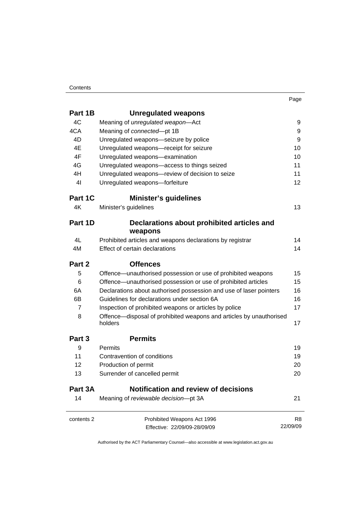#### Contents

| ×<br>٧ |
|--------|
|--------|

| Part 1B        | <b>Unregulated weapons</b>                                                     |                |
|----------------|--------------------------------------------------------------------------------|----------------|
| 4C             | Meaning of unregulated weapon-Act                                              | 9              |
| 4CA            | Meaning of connected-pt 1B                                                     | 9              |
| 4D             | Unregulated weapons-seizure by police                                          | 9              |
| 4E             | Unregulated weapons-receipt for seizure                                        | 10             |
| 4F             | Unregulated weapons-examination                                                | 10             |
| 4G             | Unregulated weapons-access to things seized                                    | 11             |
| 4H             | Unregulated weapons-review of decision to seize                                | 11             |
| 4 <sub>l</sub> | Unregulated weapons-forfeiture                                                 | 12             |
| Part 1C        | <b>Minister's guidelines</b>                                                   |                |
| 4K             | Minister's guidelines                                                          | 13             |
| Part 1D        | Declarations about prohibited articles and<br>weapons                          |                |
| 4L             | Prohibited articles and weapons declarations by registrar                      | 14             |
| 4M             | Effect of certain declarations                                                 | 14             |
| Part 2         | <b>Offences</b>                                                                |                |
| 5              | Offence-unauthorised possession or use of prohibited weapons                   | 15             |
| 6              | Offence—unauthorised possession or use of prohibited articles                  | 15             |
| 6A             | Declarations about authorised possession and use of laser pointers             | 16             |
| 6B             | Guidelines for declarations under section 6A                                   | 16             |
| $\overline{7}$ | Inspection of prohibited weapons or articles by police                         | 17             |
| 8              | Offence-disposal of prohibited weapons and articles by unauthorised<br>holders | 17             |
| Part 3         | <b>Permits</b>                                                                 |                |
| 9              | Permits                                                                        | 19             |
| 11             | Contravention of conditions                                                    | 19             |
| 12             | Production of permit                                                           | 20             |
| 13             | Surrender of cancelled permit                                                  | 20             |
| Part 3A        | <b>Notification and review of decisions</b>                                    |                |
| 14             | Meaning of reviewable decision-pt 3A                                           | 21             |
| contents 2     | Prohibited Weapons Act 1996                                                    | R <sub>8</sub> |
|                | Effective: 22/09/09-28/09/09                                                   | 22/09/09       |
|                |                                                                                |                |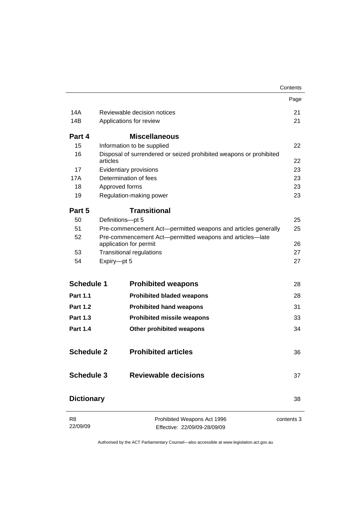|                            |             |                                                                                    | Contents   |
|----------------------------|-------------|------------------------------------------------------------------------------------|------------|
|                            |             |                                                                                    | Page       |
| 14A                        |             | Reviewable decision notices                                                        | 21         |
| 14B                        |             | Applications for review                                                            | 21         |
| Part 4                     |             | <b>Miscellaneous</b>                                                               |            |
| 15                         |             | Information to be supplied                                                         | 22         |
| 16                         | articles    | Disposal of surrendered or seized prohibited weapons or prohibited                 | 22         |
| 17                         |             | Evidentiary provisions                                                             | 23         |
| 17A                        |             | Determination of fees                                                              | 23         |
| 18                         |             | Approved forms                                                                     | 23         |
| 19                         |             | Regulation-making power                                                            | 23         |
| Part 5                     |             | <b>Transitional</b>                                                                |            |
| 50                         |             | Definitions-pt 5                                                                   | 25         |
| 51                         |             | Pre-commencement Act-permitted weapons and articles generally                      | 25         |
| 52                         |             | Pre-commencement Act-permitted weapons and articles-late<br>application for permit | 26         |
| 53                         |             | <b>Transitional regulations</b>                                                    | 27         |
| 54                         | Expiry-pt 5 |                                                                                    | 27         |
| <b>Schedule 1</b>          |             | <b>Prohibited weapons</b>                                                          | 28         |
| <b>Part 1.1</b>            |             | <b>Prohibited bladed weapons</b>                                                   | 28         |
| <b>Part 1.2</b>            |             | <b>Prohibited hand weapons</b>                                                     | 31         |
| <b>Part 1.3</b>            |             | <b>Prohibited missile weapons</b>                                                  | 33         |
| <b>Part 1.4</b>            |             | Other prohibited weapons                                                           | 34         |
| <b>Schedule 2</b>          |             | <b>Prohibited articles</b>                                                         | 36         |
| <b>Schedule 3</b>          |             | <b>Reviewable decisions</b>                                                        | 37         |
| <b>Dictionary</b>          |             |                                                                                    | 38         |
| R <sub>8</sub><br>22/09/09 |             | Prohibited Weapons Act 1996<br>Effective: 22/09/09-28/09/09                        | contents 3 |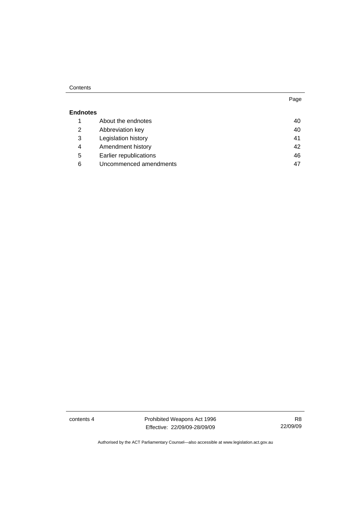#### Contents

#### **Endnotes**

|   | About the endnotes     | 40 |
|---|------------------------|----|
| 2 | Abbreviation key       | 40 |
| 3 | Legislation history    | 41 |
| 4 | Amendment history      | 42 |
| 5 | Earlier republications | 46 |
| 6 | Uncommenced amendments | 47 |

contents 4 **Prohibited Weapons Act 1996** Effective: 22/09/09-28/09/09

Page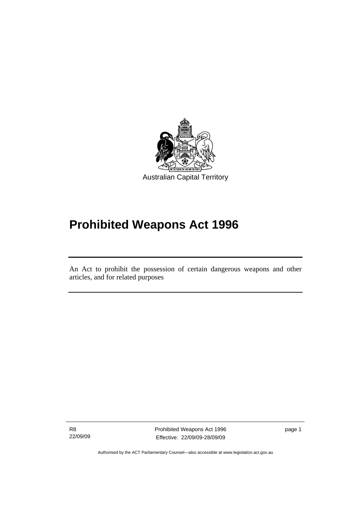<span id="page-6-0"></span>

# **Prohibited Weapons Act 1996**

An Act to prohibit the possession of certain dangerous weapons and other articles, and for related purposes

R8 22/09/09

ׇ֚֡֬

Prohibited Weapons Act 1996 Effective: 22/09/09-28/09/09

page 1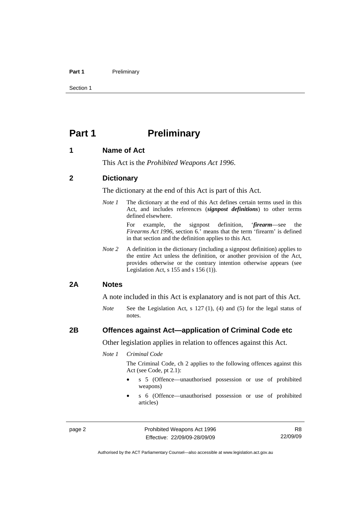#### <span id="page-7-0"></span>Part 1 **Preliminary**

Section 1

# **Part 1** Preliminary

#### **1 Name of Act**

This Act is the *Prohibited Weapons Act 1996*.

#### **2 Dictionary**

The dictionary at the end of this Act is part of this Act.

*Note 1* The dictionary at the end of this Act defines certain terms used in this Act, and includes references (*signpost definitions*) to other terms defined elsewhere.

> For example, the signpost definition, '*firearm*—see the *Firearms Act 1996*, section 6.' means that the term 'firearm' is defined in that section and the definition applies to this Act.

*Note 2* A definition in the dictionary (including a signpost definition) applies to the entire Act unless the definition, or another provision of the Act, provides otherwise or the contrary intention otherwise appears (see Legislation Act, s 155 and s 156 (1)).

#### **2A Notes**

A note included in this Act is explanatory and is not part of this Act.

*Note* See the Legislation Act, s 127 (1), (4) and (5) for the legal status of notes.

#### **2B Offences against Act—application of Criminal Code etc**

Other legislation applies in relation to offences against this Act.

*Note 1 Criminal Code*

The Criminal Code, ch 2 applies to the following offences against this Act (see Code, pt 2.1):

- s 5 (Offence—unauthorised possession or use of prohibited weapons)
- s 6 (Offence—unauthorised possession or use of prohibited articles)

page 2 **Prohibited Weapons Act 1996** Effective: 22/09/09-28/09/09

R8 22/09/09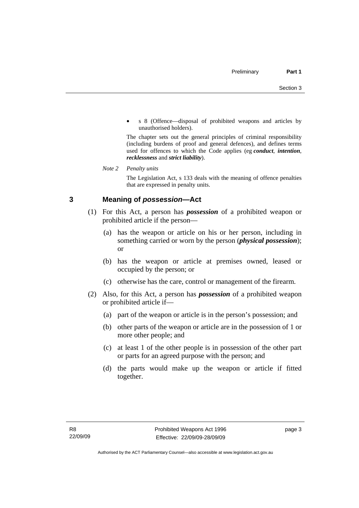<span id="page-8-0"></span>• s 8 (Offence—disposal of prohibited weapons and articles by unauthorised holders).

The chapter sets out the general principles of criminal responsibility (including burdens of proof and general defences), and defines terms used for offences to which the Code applies (eg *conduct*, *intention*, *recklessness* and *strict liability*).

*Note 2 Penalty units* 

The Legislation Act, s 133 deals with the meaning of offence penalties that are expressed in penalty units.

# **3 Meaning of** *possession***—Act**

- (1) For this Act, a person has *possession* of a prohibited weapon or prohibited article if the person—
	- (a) has the weapon or article on his or her person, including in something carried or worn by the person (*physical possession*); or
	- (b) has the weapon or article at premises owned, leased or occupied by the person; or
	- (c) otherwise has the care, control or management of the firearm.
- (2) Also, for this Act, a person has *possession* of a prohibited weapon or prohibited article if—
	- (a) part of the weapon or article is in the person's possession; and
	- (b) other parts of the weapon or article are in the possession of 1 or more other people; and
	- (c) at least 1 of the other people is in possession of the other part or parts for an agreed purpose with the person; and
	- (d) the parts would make up the weapon or article if fitted together.

page 3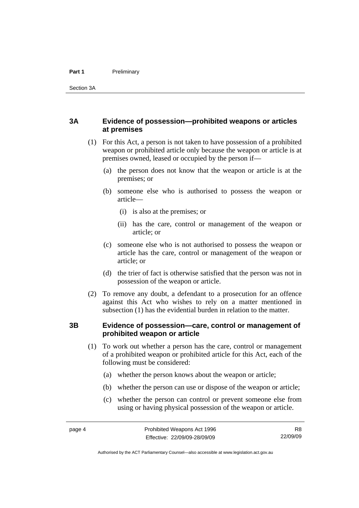### <span id="page-9-0"></span>**3A Evidence of possession—prohibited weapons or articles at premises**

- (1) For this Act, a person is not taken to have possession of a prohibited weapon or prohibited article only because the weapon or article is at premises owned, leased or occupied by the person if—
	- (a) the person does not know that the weapon or article is at the premises; or
	- (b) someone else who is authorised to possess the weapon or article—
		- (i) is also at the premises; or
		- (ii) has the care, control or management of the weapon or article; or
	- (c) someone else who is not authorised to possess the weapon or article has the care, control or management of the weapon or article; or
	- (d) the trier of fact is otherwise satisfied that the person was not in possession of the weapon or article.
- (2) To remove any doubt, a defendant to a prosecution for an offence against this Act who wishes to rely on a matter mentioned in subsection (1) has the evidential burden in relation to the matter.

#### **3B Evidence of possession—care, control or management of prohibited weapon or article**

- (1) To work out whether a person has the care, control or management of a prohibited weapon or prohibited article for this Act, each of the following must be considered:
	- (a) whether the person knows about the weapon or article;
	- (b) whether the person can use or dispose of the weapon or article;
	- (c) whether the person can control or prevent someone else from using or having physical possession of the weapon or article.

R8 22/09/09

Authorised by the ACT Parliamentary Counsel—also accessible at www.legislation.act.gov.au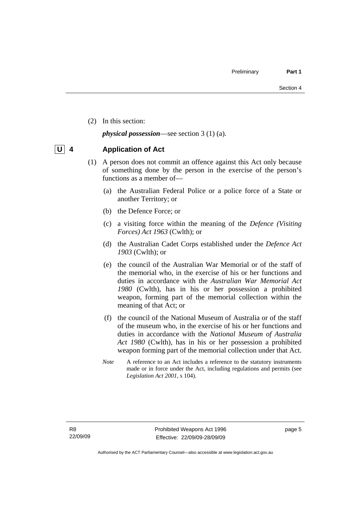<span id="page-10-0"></span>(2) In this section:

*physical possession*—see section 3 (1) (a).

# **U 4 Application of Act**

- (1) A person does not commit an offence against this Act only because of something done by the person in the exercise of the person's functions as a member of—
	- (a) the Australian Federal Police or a police force of a State or another Territory; or
	- (b) the Defence Force; or
	- (c) a visiting force within the meaning of the *Defence (Visiting Forces) Act 1963* (Cwlth); or
	- (d) the Australian Cadet Corps established under the *Defence Act 1903* (Cwlth); or
	- (e) the council of the Australian War Memorial or of the staff of the memorial who, in the exercise of his or her functions and duties in accordance with the *Australian War Memorial Act 1980* (Cwlth), has in his or her possession a prohibited weapon, forming part of the memorial collection within the meaning of that Act; or
	- (f) the council of the National Museum of Australia or of the staff of the museum who, in the exercise of his or her functions and duties in accordance with the *National Museum of Australia Act 1980* (Cwlth), has in his or her possession a prohibited weapon forming part of the memorial collection under that Act.
	- *Note* A reference to an Act includes a reference to the statutory instruments made or in force under the Act, including regulations and permits (see *Legislation Act 2001*, s 104).

page 5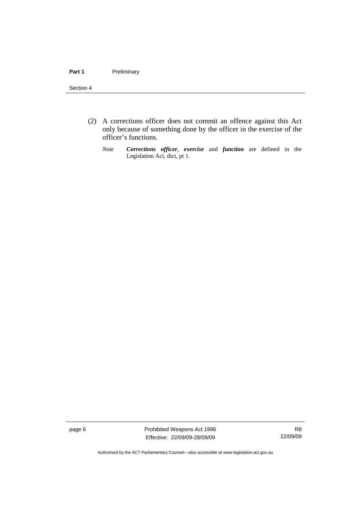#### Section 4

- (2) A corrections officer does not commit an offence against this Act only because of something done by the officer in the exercise of the officer's functions.
	- *Note Corrections officer*, *exercise* and *function* are defined in the Legislation Act, dict, pt 1.

page 6 **Prohibited Weapons Act 1996** Effective: 22/09/09-28/09/09

R8 22/09/09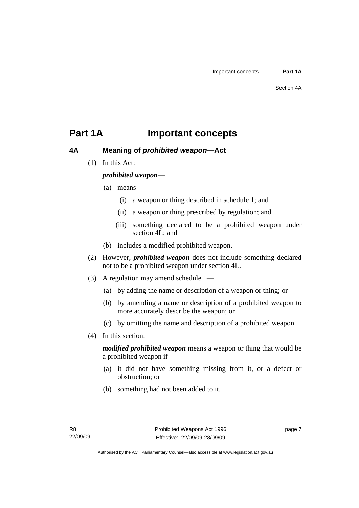# <span id="page-12-0"></span>**Part 1A Important concepts**

#### **4A Meaning of** *prohibited weapon***—Act**

(1) In this Act:

### *prohibited weapon*—

- (a) means—
	- (i) a weapon or thing described in schedule 1; and
	- (ii) a weapon or thing prescribed by regulation; and
	- (iii) something declared to be a prohibited weapon under section 4L; and
- (b) includes a modified prohibited weapon.
- (2) However, *prohibited weapon* does not include something declared not to be a prohibited weapon under section 4L.
- (3) A regulation may amend schedule 1—
	- (a) by adding the name or description of a weapon or thing; or
	- (b) by amending a name or description of a prohibited weapon to more accurately describe the weapon; or
	- (c) by omitting the name and description of a prohibited weapon.
- (4) In this section:

*modified prohibited weapon* means a weapon or thing that would be a prohibited weapon if—

- (a) it did not have something missing from it, or a defect or obstruction; or
- (b) something had not been added to it.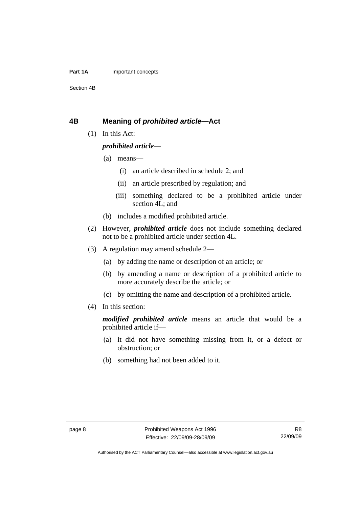#### <span id="page-13-0"></span>**Part 1A Important concepts**

Section 4B

#### **4B Meaning of** *prohibited article***—Act**

(1) In this Act:

#### *prohibited article*—

- (a) means—
	- (i) an article described in schedule 2; and
	- (ii) an article prescribed by regulation; and
	- (iii) something declared to be a prohibited article under section 4L; and
- (b) includes a modified prohibited article.
- (2) However, *prohibited article* does not include something declared not to be a prohibited article under section 4L.
- (3) A regulation may amend schedule 2—
	- (a) by adding the name or description of an article; or
	- (b) by amending a name or description of a prohibited article to more accurately describe the article; or
	- (c) by omitting the name and description of a prohibited article.
- (4) In this section:

*modified prohibited article* means an article that would be a prohibited article if—

- (a) it did not have something missing from it, or a defect or obstruction; or
- (b) something had not been added to it.

Authorised by the ACT Parliamentary Counsel—also accessible at www.legislation.act.gov.au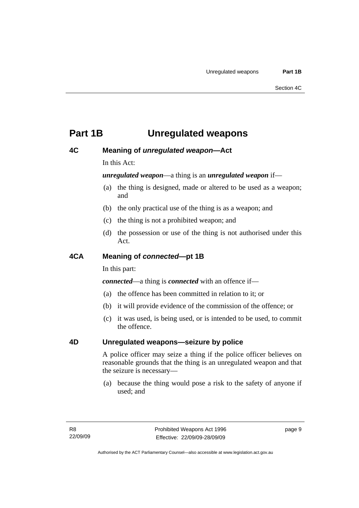# <span id="page-14-0"></span>**Part 1B Unregulated weapons**

### **4C Meaning of** *unregulated weapon***—Act**

In this Act:

#### *unregulated weapon*—a thing is an *unregulated weapon* if—

- (a) the thing is designed, made or altered to be used as a weapon; and
- (b) the only practical use of the thing is as a weapon; and
- (c) the thing is not a prohibited weapon; and
- (d) the possession or use of the thing is not authorised under this Act.

### **4CA Meaning of** *connected***—pt 1B**

In this part:

*connected*—a thing is *connected* with an offence if—

- (a) the offence has been committed in relation to it; or
- (b) it will provide evidence of the commission of the offence; or
- (c) it was used, is being used, or is intended to be used, to commit the offence.

### **4D Unregulated weapons—seizure by police**

A police officer may seize a thing if the police officer believes on reasonable grounds that the thing is an unregulated weapon and that the seizure is necessary—

 (a) because the thing would pose a risk to the safety of anyone if used; and

page 9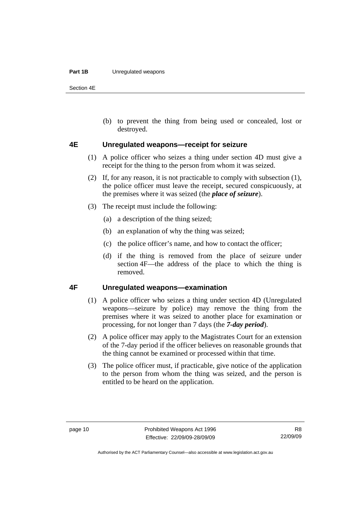#### <span id="page-15-0"></span>**Part 1B** Unregulated weapons

Section 4E

 (b) to prevent the thing from being used or concealed, lost or destroyed.

#### **4E Unregulated weapons—receipt for seizure**

- (1) A police officer who seizes a thing under section 4D must give a receipt for the thing to the person from whom it was seized.
- (2) If, for any reason, it is not practicable to comply with subsection (1), the police officer must leave the receipt, secured conspicuously, at the premises where it was seized (the *place of seizure*).
- (3) The receipt must include the following:
	- (a) a description of the thing seized;
	- (b) an explanation of why the thing was seized;
	- (c) the police officer's name, and how to contact the officer;
	- (d) if the thing is removed from the place of seizure under section 4F—the address of the place to which the thing is removed.

### **4F Unregulated weapons—examination**

- (1) A police officer who seizes a thing under section 4D (Unregulated weapons—seizure by police) may remove the thing from the premises where it was seized to another place for examination or processing, for not longer than 7 days (the *7-day period*).
- (2) A police officer may apply to the Magistrates Court for an extension of the 7-day period if the officer believes on reasonable grounds that the thing cannot be examined or processed within that time.
- (3) The police officer must, if practicable, give notice of the application to the person from whom the thing was seized, and the person is entitled to be heard on the application.

R8 22/09/09

Authorised by the ACT Parliamentary Counsel—also accessible at www.legislation.act.gov.au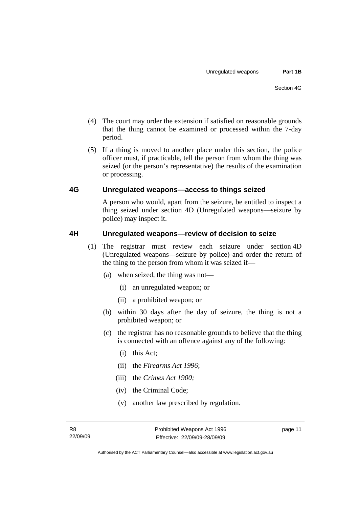- <span id="page-16-0"></span> (4) The court may order the extension if satisfied on reasonable grounds that the thing cannot be examined or processed within the 7-day period.
- (5) If a thing is moved to another place under this section, the police officer must, if practicable, tell the person from whom the thing was seized (or the person's representative) the results of the examination or processing.

### **4G Unregulated weapons—access to things seized**

A person who would, apart from the seizure, be entitled to inspect a thing seized under section 4D (Unregulated weapons—seizure by police) may inspect it.

### **4H Unregulated weapons—review of decision to seize**

- (1) The registrar must review each seizure under section 4D (Unregulated weapons—seizure by police) and order the return of the thing to the person from whom it was seized if—
	- (a) when seized, the thing was not—
		- (i) an unregulated weapon; or
		- (ii) a prohibited weapon; or
	- (b) within 30 days after the day of seizure, the thing is not a prohibited weapon; or
	- (c) the registrar has no reasonable grounds to believe that the thing is connected with an offence against any of the following:
		- (i) this Act;
		- (ii) the *Firearms Act 1996*;
		- (iii) the *Crimes Act 1900;*
		- (iv) the Criminal Code;
		- (v) another law prescribed by regulation.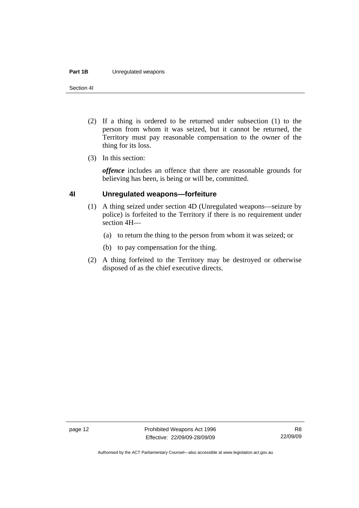#### <span id="page-17-0"></span>**Part 1B** Unregulated weapons

Section 4I

- (2) If a thing is ordered to be returned under subsection (1) to the person from whom it was seized, but it cannot be returned, the Territory must pay reasonable compensation to the owner of the thing for its loss.
- (3) In this section:

*offence* includes an offence that there are reasonable grounds for believing has been, is being or will be, committed.

### **4I Unregulated weapons—forfeiture**

- (1) A thing seized under section 4D (Unregulated weapons—seizure by police) is forfeited to the Territory if there is no requirement under section 4H—
	- (a) to return the thing to the person from whom it was seized; or
	- (b) to pay compensation for the thing.
- (2) A thing forfeited to the Territory may be destroyed or otherwise disposed of as the chief executive directs.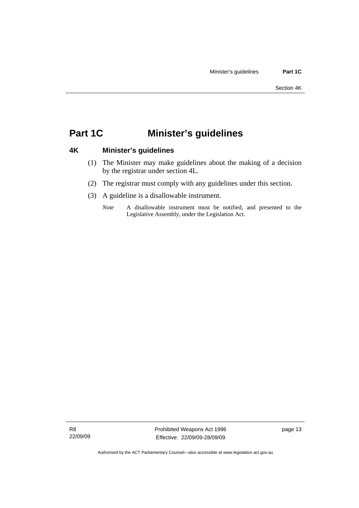# <span id="page-18-0"></span>**Part 1C Minister's guidelines**

# **4K Minister's guidelines**

- (1) The Minister may make guidelines about the making of a decision by the registrar under section 4L.
- (2) The registrar must comply with any guidelines under this section.
- (3) A guideline is a disallowable instrument.
	- *Note* A disallowable instrument must be notified, and presented to the Legislative Assembly, under the Legislation Act.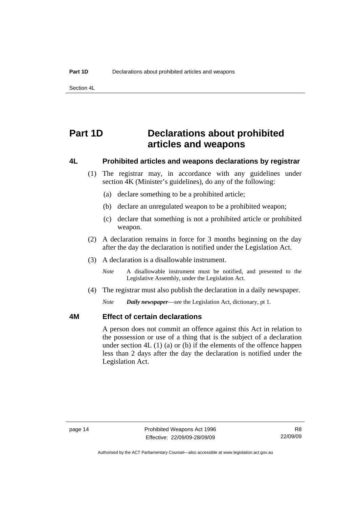<span id="page-19-0"></span>Section 4L

# **Part 1D Declarations about prohibited articles and weapons**

#### **4L Prohibited articles and weapons declarations by registrar**

- (1) The registrar may, in accordance with any guidelines under section 4K (Minister's guidelines), do any of the following:
	- (a) declare something to be a prohibited article;
	- (b) declare an unregulated weapon to be a prohibited weapon;
	- (c) declare that something is not a prohibited article or prohibited weapon.
- (2) A declaration remains in force for 3 months beginning on the day after the day the declaration is notified under the Legislation Act.
- (3) A declaration is a disallowable instrument.

*Note* A disallowable instrument must be notified, and presented to the Legislative Assembly, under the Legislation Act.

(4) The registrar must also publish the declaration in a daily newspaper.

*Note Daily newspaper*—see the Legislation Act, dictionary, pt 1.

#### **4M Effect of certain declarations**

A person does not commit an offence against this Act in relation to the possession or use of a thing that is the subject of a declaration under section  $4L(1)(a)$  or (b) if the elements of the offence happen less than 2 days after the day the declaration is notified under the Legislation Act.

Authorised by the ACT Parliamentary Counsel—also accessible at www.legislation.act.gov.au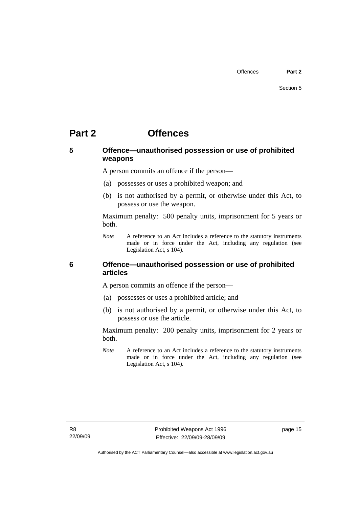# <span id="page-20-0"></span>**Part 2 Offences**

### **5 Offence—unauthorised possession or use of prohibited weapons**

A person commits an offence if the person—

- (a) possesses or uses a prohibited weapon; and
- (b) is not authorised by a permit, or otherwise under this Act, to possess or use the weapon.

Maximum penalty: 500 penalty units, imprisonment for 5 years or both.

*Note* A reference to an Act includes a reference to the statutory instruments made or in force under the Act, including any regulation (see Legislation Act, s 104).

### **6 Offence—unauthorised possession or use of prohibited articles**

A person commits an offence if the person—

- (a) possesses or uses a prohibited article; and
- (b) is not authorised by a permit, or otherwise under this Act, to possess or use the article.

Maximum penalty: 200 penalty units, imprisonment for 2 years or both.

*Note* A reference to an Act includes a reference to the statutory instruments made or in force under the Act, including any regulation (see Legislation Act, s 104).

page 15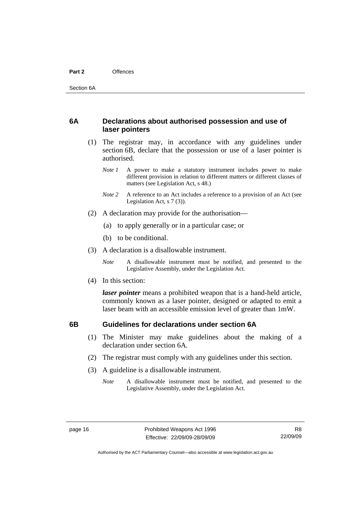### <span id="page-21-0"></span>**6A Declarations about authorised possession and use of laser pointers**

- (1) The registrar may, in accordance with any guidelines under section 6B, declare that the possession or use of a laser pointer is authorised.
	- *Note 1* A power to make a statutory instrument includes power to make different provision in relation to different matters or different classes of matters (see Legislation Act, s 48.)
	- *Note 2* A reference to an Act includes a reference to a provision of an Act (see Legislation Act, s 7 (3)).
- (2) A declaration may provide for the authorisation—
	- (a) to apply generally or in a particular case; or
	- (b) to be conditional.
- (3) A declaration is a disallowable instrument.

*Note* A disallowable instrument must be notified, and presented to the Legislative Assembly, under the Legislation Act.

(4) In this section:

*laser pointer* means a prohibited weapon that is a hand-held article, commonly known as a laser pointer, designed or adapted to emit a laser beam with an accessible emission level of greater than 1mW.

# **6B Guidelines for declarations under section 6A**

- (1) The Minister may make guidelines about the making of a declaration under section 6A.
- (2) The registrar must comply with any guidelines under this section.
- (3) A guideline is a disallowable instrument.
	- *Note* A disallowable instrument must be notified, and presented to the Legislative Assembly, under the Legislation Act.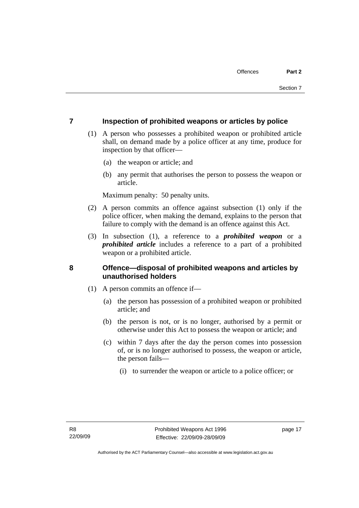### <span id="page-22-0"></span>**7 Inspection of prohibited weapons or articles by police**

- (1) A person who possesses a prohibited weapon or prohibited article shall, on demand made by a police officer at any time, produce for inspection by that officer—
	- (a) the weapon or article; and
	- (b) any permit that authorises the person to possess the weapon or article.

Maximum penalty: 50 penalty units.

- (2) A person commits an offence against subsection (1) only if the police officer, when making the demand, explains to the person that failure to comply with the demand is an offence against this Act.
- (3) In subsection (1), a reference to a *prohibited weapon* or a *prohibited article* includes a reference to a part of a prohibited weapon or a prohibited article.

### **8 Offence—disposal of prohibited weapons and articles by unauthorised holders**

- (1) A person commits an offence if—
	- (a) the person has possession of a prohibited weapon or prohibited article; and
	- (b) the person is not, or is no longer, authorised by a permit or otherwise under this Act to possess the weapon or article; and
	- (c) within 7 days after the day the person comes into possession of, or is no longer authorised to possess, the weapon or article, the person fails—
		- (i) to surrender the weapon or article to a police officer; or

page 17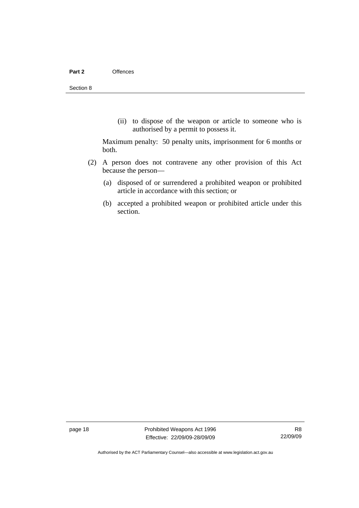(ii) to dispose of the weapon or article to someone who is authorised by a permit to possess it.

Maximum penalty: 50 penalty units, imprisonment for 6 months or both.

- (2) A person does not contravene any other provision of this Act because the person—
	- (a) disposed of or surrendered a prohibited weapon or prohibited article in accordance with this section; or
	- (b) accepted a prohibited weapon or prohibited article under this section.

page 18 **Prohibited Weapons Act 1996** Effective: 22/09/09-28/09/09

R8 22/09/09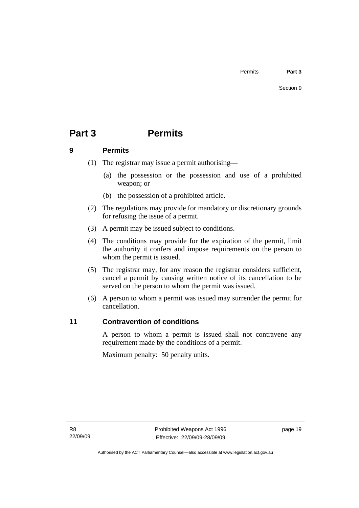# <span id="page-24-0"></span>**Part 3 Permits**

### **9 Permits**

- (1) The registrar may issue a permit authorising—
	- (a) the possession or the possession and use of a prohibited weapon; or
	- (b) the possession of a prohibited article.
- (2) The regulations may provide for mandatory or discretionary grounds for refusing the issue of a permit.
- (3) A permit may be issued subject to conditions.
- (4) The conditions may provide for the expiration of the permit, limit the authority it confers and impose requirements on the person to whom the permit is issued.
- (5) The registrar may, for any reason the registrar considers sufficient, cancel a permit by causing written notice of its cancellation to be served on the person to whom the permit was issued.
- (6) A person to whom a permit was issued may surrender the permit for cancellation.

# **11 Contravention of conditions**

A person to whom a permit is issued shall not contravene any requirement made by the conditions of a permit.

Maximum penalty: 50 penalty units.

page 19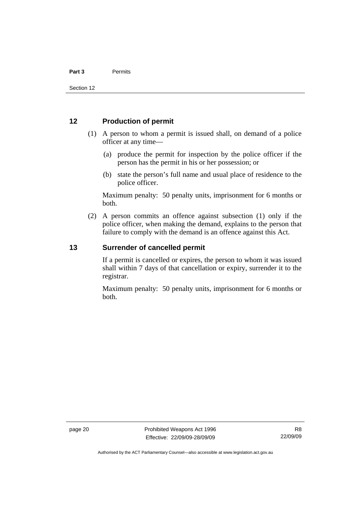#### <span id="page-25-0"></span>**12 Production of permit**

- (1) A person to whom a permit is issued shall, on demand of a police officer at any time—
	- (a) produce the permit for inspection by the police officer if the person has the permit in his or her possession; or
	- (b) state the person's full name and usual place of residence to the police officer.

Maximum penalty: 50 penalty units, imprisonment for 6 months or both.

 (2) A person commits an offence against subsection (1) only if the police officer, when making the demand, explains to the person that failure to comply with the demand is an offence against this Act.

#### **13 Surrender of cancelled permit**

If a permit is cancelled or expires, the person to whom it was issued shall within 7 days of that cancellation or expiry, surrender it to the registrar.

Maximum penalty: 50 penalty units, imprisonment for 6 months or both.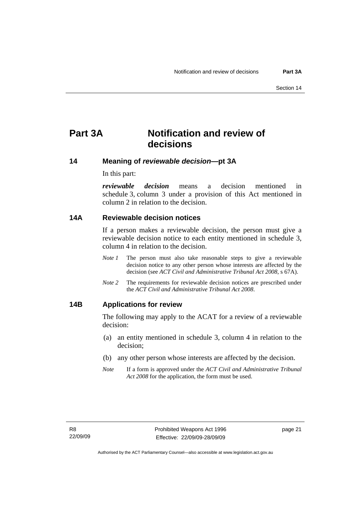# <span id="page-26-0"></span>**Part 3A Notification and review of decisions**

**14 Meaning of** *reviewable decision—***pt 3A** 

In this part:

*reviewable decision* means a decision mentioned in schedule 3, column 3 under a provision of this Act mentioned in column 2 in relation to the decision.

#### **14A Reviewable decision notices**

If a person makes a reviewable decision, the person must give a reviewable decision notice to each entity mentioned in schedule 3, column 4 in relation to the decision.

- *Note 1* The person must also take reasonable steps to give a reviewable decision notice to any other person whose interests are affected by the decision (see *ACT Civil and Administrative Tribunal Act 2008*, s 67A).
- *Note 2* The requirements for reviewable decision notices are prescribed under the *ACT Civil and Administrative Tribunal Act 2008*.

#### **14B Applications for review**

The following may apply to the ACAT for a review of a reviewable decision:

- (a) an entity mentioned in schedule 3, column 4 in relation to the decision;
- (b) any other person whose interests are affected by the decision.
- *Note* If a form is approved under the *ACT Civil and Administrative Tribunal Act 2008* for the application, the form must be used.

page 21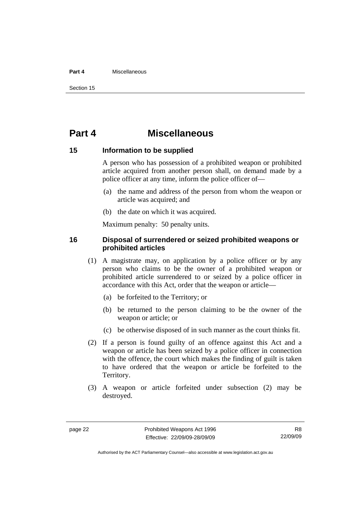#### <span id="page-27-0"></span>**Part 4** Miscellaneous

Section 15

# **Part 4 Miscellaneous**

#### **15 Information to be supplied**

A person who has possession of a prohibited weapon or prohibited article acquired from another person shall, on demand made by a police officer at any time, inform the police officer of—

- (a) the name and address of the person from whom the weapon or article was acquired; and
- (b) the date on which it was acquired.

Maximum penalty: 50 penalty units.

#### **16 Disposal of surrendered or seized prohibited weapons or prohibited articles**

- (1) A magistrate may, on application by a police officer or by any person who claims to be the owner of a prohibited weapon or prohibited article surrendered to or seized by a police officer in accordance with this Act, order that the weapon or article—
	- (a) be forfeited to the Territory; or
	- (b) be returned to the person claiming to be the owner of the weapon or article; or
	- (c) be otherwise disposed of in such manner as the court thinks fit.
- (2) If a person is found guilty of an offence against this Act and a weapon or article has been seized by a police officer in connection with the offence, the court which makes the finding of guilt is taken to have ordered that the weapon or article be forfeited to the Territory.
- (3) A weapon or article forfeited under subsection (2) may be destroyed.

Authorised by the ACT Parliamentary Counsel—also accessible at www.legislation.act.gov.au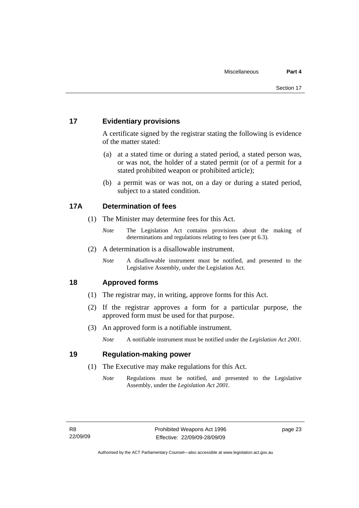### <span id="page-28-0"></span>**17 Evidentiary provisions**

A certificate signed by the registrar stating the following is evidence of the matter stated:

- (a) at a stated time or during a stated period, a stated person was, or was not, the holder of a stated permit (or of a permit for a stated prohibited weapon or prohibited article);
- (b) a permit was or was not, on a day or during a stated period, subject to a stated condition.

# **17A Determination of fees**

- (1) The Minister may determine fees for this Act.
	- *Note* The Legislation Act contains provisions about the making of determinations and regulations relating to fees (see pt 6.3).
- (2) A determination is a disallowable instrument.
	- *Note* A disallowable instrument must be notified, and presented to the Legislative Assembly, under the Legislation Act.

# **18 Approved forms**

- (1) The registrar may, in writing, approve forms for this Act.
- (2) If the registrar approves a form for a particular purpose, the approved form must be used for that purpose.
- (3) An approved form is a notifiable instrument.

*Note* A notifiable instrument must be notified under the *Legislation Act 2001*.

### **19 Regulation-making power**

- (1) The Executive may make regulations for this Act.
	- *Note* Regulations must be notified, and presented to the Legislative Assembly, under the *Legislation Act 2001*.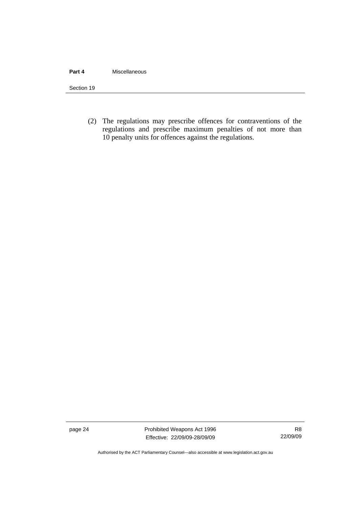#### **Part 4** Miscellaneous

Section 19

 (2) The regulations may prescribe offences for contraventions of the regulations and prescribe maximum penalties of not more than 10 penalty units for offences against the regulations.

page 24 Prohibited Weapons Act 1996 Effective: 22/09/09-28/09/09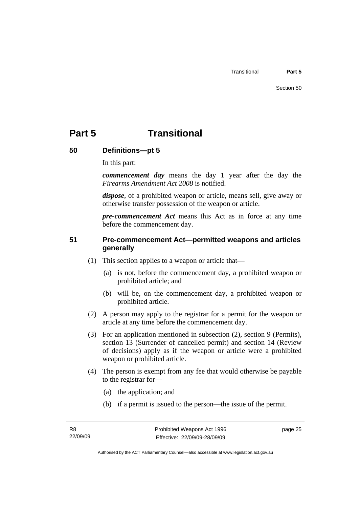# <span id="page-30-0"></span>**Part 5 Transitional**

# **50 Definitions—pt 5**

In this part:

*commencement day* means the day 1 year after the day the *Firearms Amendment Act 2008* is notified.

*dispose*, of a prohibited weapon or article, means sell, give away or otherwise transfer possession of the weapon or article.

*pre-commencement Act* means this Act as in force at any time before the commencement day.

# **51 Pre-commencement Act—permitted weapons and articles generally**

- (1) This section applies to a weapon or article that—
	- (a) is not, before the commencement day, a prohibited weapon or prohibited article; and
	- (b) will be, on the commencement day, a prohibited weapon or prohibited article.
- (2) A person may apply to the registrar for a permit for the weapon or article at any time before the commencement day.
- (3) For an application mentioned in subsection (2), section 9 (Permits), section 13 (Surrender of cancelled permit) and section 14 (Review of decisions) apply as if the weapon or article were a prohibited weapon or prohibited article.
- (4) The person is exempt from any fee that would otherwise be payable to the registrar for—
	- (a) the application; and
	- (b) if a permit is issued to the person—the issue of the permit.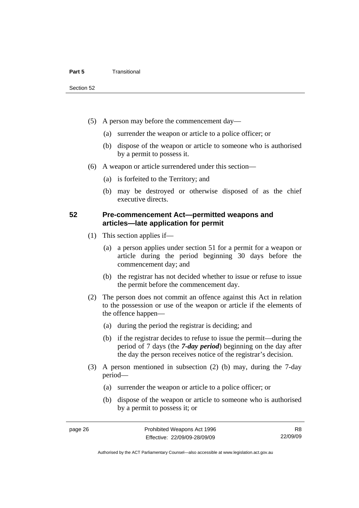- <span id="page-31-0"></span> (5) A person may before the commencement day—
	- (a) surrender the weapon or article to a police officer; or
	- (b) dispose of the weapon or article to someone who is authorised by a permit to possess it.
- (6) A weapon or article surrendered under this section—
	- (a) is forfeited to the Territory; and
	- (b) may be destroyed or otherwise disposed of as the chief executive directs.

### **52 Pre-commencement Act—permitted weapons and articles—late application for permit**

- (1) This section applies if—
	- (a) a person applies under section 51 for a permit for a weapon or article during the period beginning 30 days before the commencement day; and
	- (b) the registrar has not decided whether to issue or refuse to issue the permit before the commencement day.
- (2) The person does not commit an offence against this Act in relation to the possession or use of the weapon or article if the elements of the offence happen—
	- (a) during the period the registrar is deciding; and
	- (b) if the registrar decides to refuse to issue the permit—during the period of 7 days (the *7-day period*) beginning on the day after the day the person receives notice of the registrar's decision.
- (3) A person mentioned in subsection (2) (b) may, during the 7-day period—
	- (a) surrender the weapon or article to a police officer; or
	- (b) dispose of the weapon or article to someone who is authorised by a permit to possess it; or

R8 22/09/09

Authorised by the ACT Parliamentary Counsel—also accessible at www.legislation.act.gov.au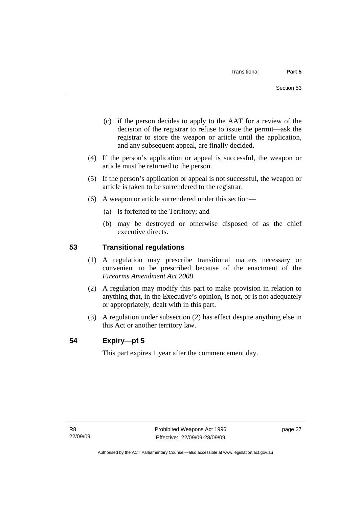- <span id="page-32-0"></span> (c) if the person decides to apply to the AAT for a review of the decision of the registrar to refuse to issue the permit—ask the registrar to store the weapon or article until the application, and any subsequent appeal, are finally decided.
- (4) If the person's application or appeal is successful, the weapon or article must be returned to the person.
- (5) If the person's application or appeal is not successful, the weapon or article is taken to be surrendered to the registrar.
- (6) A weapon or article surrendered under this section—
	- (a) is forfeited to the Territory; and
	- (b) may be destroyed or otherwise disposed of as the chief executive directs.

# **53 Transitional regulations**

- (1) A regulation may prescribe transitional matters necessary or convenient to be prescribed because of the enactment of the *Firearms Amendment Act 2008*.
- (2) A regulation may modify this part to make provision in relation to anything that, in the Executive's opinion, is not, or is not adequately or appropriately, dealt with in this part.
- (3) A regulation under subsection (2) has effect despite anything else in this Act or another territory law.

# **54 Expiry—pt 5**

This part expires 1 year after the commencement day.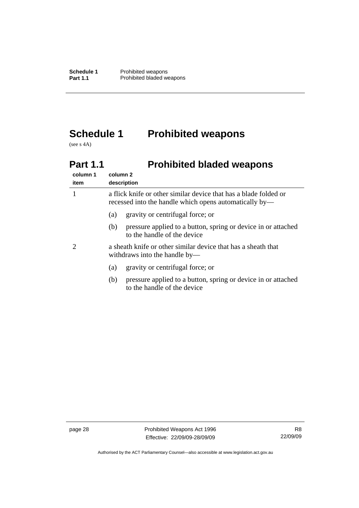# <span id="page-33-0"></span>**Schedule 1 Prohibited weapons**

(see s 4A)

# **Part 1.1** Prohibited bladed weapons

| column 1<br>item | column 2<br>description                                                                                                    |  |  |
|------------------|----------------------------------------------------------------------------------------------------------------------------|--|--|
|                  | a flick knife or other similar device that has a blade folded or<br>recessed into the handle which opens automatically by— |  |  |
|                  | gravity or centrifugal force; or<br>(a)                                                                                    |  |  |
|                  | pressure applied to a button, spring or device in or attached<br>(b)<br>to the handle of the device                        |  |  |
|                  | a sheath knife or other similar device that has a sheath that<br>withdraws into the handle by—                             |  |  |
|                  | gravity or centrifugal force; or<br>(a)                                                                                    |  |  |
|                  | pressure applied to a button, spring or device in or attached<br>(b)<br>to the handle of the device                        |  |  |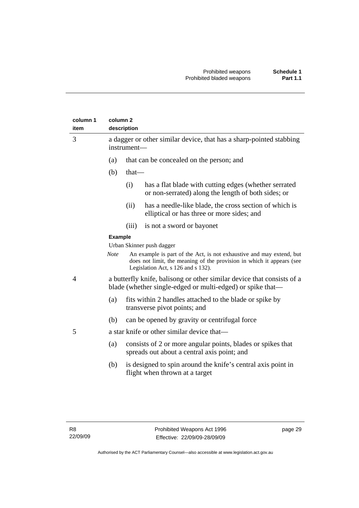| column 1<br>item | column <sub>2</sub>                                                                                                                  | description                                                                        |                                                                                                                                                                                     |
|------------------|--------------------------------------------------------------------------------------------------------------------------------------|------------------------------------------------------------------------------------|-------------------------------------------------------------------------------------------------------------------------------------------------------------------------------------|
| 3                |                                                                                                                                      | a dagger or other similar device, that has a sharp-pointed stabbing<br>instrument- |                                                                                                                                                                                     |
|                  | (a)                                                                                                                                  |                                                                                    | that can be concealed on the person; and                                                                                                                                            |
|                  | (b)                                                                                                                                  | $that$ —                                                                           |                                                                                                                                                                                     |
|                  |                                                                                                                                      | (i)                                                                                | has a flat blade with cutting edges (whether serrated<br>or non-serrated) along the length of both sides; or                                                                        |
|                  |                                                                                                                                      | (ii)                                                                               | has a needle-like blade, the cross section of which is<br>elliptical or has three or more sides; and                                                                                |
|                  |                                                                                                                                      | (iii)                                                                              | is not a sword or bayonet                                                                                                                                                           |
|                  | <b>Example</b>                                                                                                                       |                                                                                    |                                                                                                                                                                                     |
|                  |                                                                                                                                      |                                                                                    | Urban Skinner push dagger                                                                                                                                                           |
|                  | <b>Note</b>                                                                                                                          |                                                                                    | An example is part of the Act, is not exhaustive and may extend, but<br>does not limit, the meaning of the provision in which it appears (see<br>Legislation Act, s 126 and s 132). |
| 4                | a butterfly knife, balisong or other similar device that consists of a<br>blade (whether single-edged or multi-edged) or spike that— |                                                                                    |                                                                                                                                                                                     |
|                  | (a)                                                                                                                                  |                                                                                    | fits within 2 handles attached to the blade or spike by<br>transverse pivot points; and                                                                                             |
|                  | (b)                                                                                                                                  |                                                                                    | can be opened by gravity or centrifugal force                                                                                                                                       |
| 5                |                                                                                                                                      |                                                                                    | a star knife or other similar device that—                                                                                                                                          |
|                  | (a)                                                                                                                                  |                                                                                    | consists of 2 or more angular points, blades or spikes that<br>spreads out about a central axis point; and                                                                          |
|                  | (b)                                                                                                                                  |                                                                                    | is designed to spin around the knife's central axis point in<br>flight when thrown at a target                                                                                      |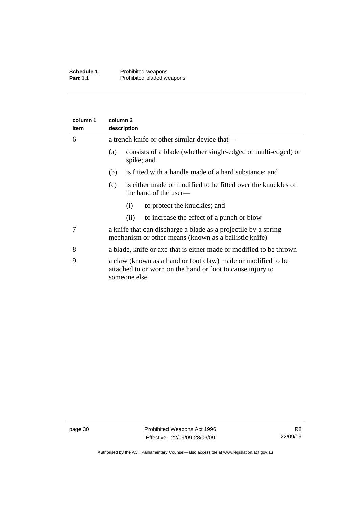| column 1<br>item | column <sub>2</sub><br>description                                                                                                         |  |
|------------------|--------------------------------------------------------------------------------------------------------------------------------------------|--|
| 6                | a trench knife or other similar device that—                                                                                               |  |
|                  | consists of a blade (whether single-edged or multi-edged) or<br>(a)<br>spike; and                                                          |  |
|                  | is fitted with a handle made of a hard substance; and<br>(b)                                                                               |  |
|                  | is either made or modified to be fitted over the knuckles of<br>(c)<br>the hand of the user—                                               |  |
|                  | to protect the knuckles; and<br>(i)                                                                                                        |  |
|                  | to increase the effect of a punch or blow<br>(i)                                                                                           |  |
| 7                | a knife that can discharge a blade as a projectile by a spring<br>mechanism or other means (known as a ballistic knife)                    |  |
| 8                | a blade, knife or axe that is either made or modified to be thrown                                                                         |  |
| 9                | a claw (known as a hand or foot claw) made or modified to be<br>attached to or worn on the hand or foot to cause injury to<br>someone else |  |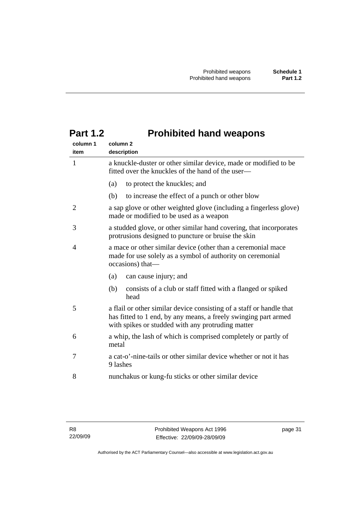| column 1<br>item | column <sub>2</sub><br>description                                                                                                                                                           |  |
|------------------|----------------------------------------------------------------------------------------------------------------------------------------------------------------------------------------------|--|
| $\mathbf{1}$     | a knuckle-duster or other similar device, made or modified to be<br>fitted over the knuckles of the hand of the user—                                                                        |  |
|                  | to protect the knuckles; and<br>(a)                                                                                                                                                          |  |
|                  | (b)<br>to increase the effect of a punch or other blow                                                                                                                                       |  |
| $\overline{2}$   | a sap glove or other weighted glove (including a fingerless glove)<br>made or modified to be used as a weapon                                                                                |  |
| 3                | a studded glove, or other similar hand covering, that incorporates<br>protrusions designed to puncture or bruise the skin                                                                    |  |
| $\overline{4}$   | a mace or other similar device (other than a ceremonial mace<br>made for use solely as a symbol of authority on ceremonial<br>occasions) that—                                               |  |
|                  | can cause injury; and<br>(a)                                                                                                                                                                 |  |
|                  | (b)<br>consists of a club or staff fitted with a flanged or spiked<br>head                                                                                                                   |  |
| 5                | a flail or other similar device consisting of a staff or handle that<br>has fitted to 1 end, by any means, a freely swinging part armed<br>with spikes or studded with any protruding matter |  |
| 6                | a whip, the lash of which is comprised completely or partly of<br>metal                                                                                                                      |  |
| 7                | a cat-o'-nine-tails or other similar device whether or not it has<br>9 lashes                                                                                                                |  |
| 8                | nunchakus or kung-fu sticks or other similar device                                                                                                                                          |  |

# <span id="page-36-0"></span>**Part 1.2 Prohibited hand weapons**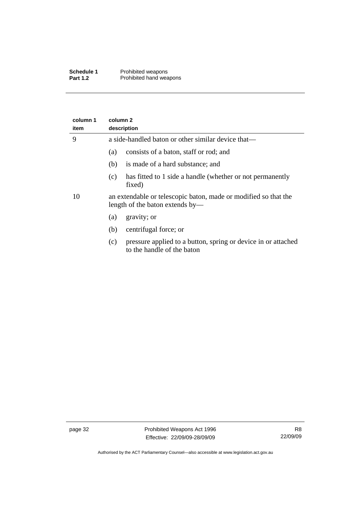| Schedule 1      | Prohibited weapons      |
|-----------------|-------------------------|
| <b>Part 1.2</b> | Prohibited hand weapons |

| column 1<br>item | column 2<br>description                                                                            |  |  |
|------------------|----------------------------------------------------------------------------------------------------|--|--|
| 9                | a side-handled baton or other similar device that—                                                 |  |  |
|                  | consists of a baton, staff or rod; and<br>(a)                                                      |  |  |
|                  | is made of a hard substance; and<br>(b)                                                            |  |  |
|                  | has fitted to 1 side a handle (whether or not permanently<br>(c)<br>fixed)                         |  |  |
| 10               | an extendable or telescopic baton, made or modified so that the<br>length of the baton extends by— |  |  |
|                  | gravity; or<br>(a)                                                                                 |  |  |
|                  | centrifugal force; or<br>(b)                                                                       |  |  |
|                  | pressure applied to a button, spring or device in or attached<br>(c)<br>to the handle of the baton |  |  |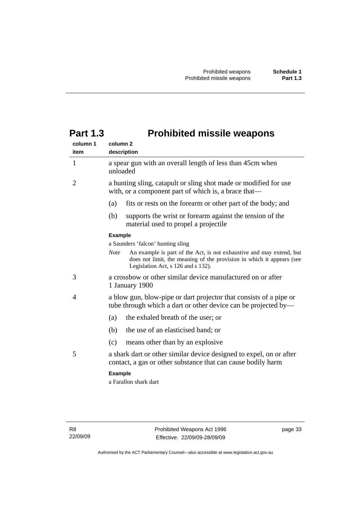<span id="page-38-0"></span>

| <b>Prohibited missile weapons</b> |
|-----------------------------------|
|                                   |

| column 1<br>item | column <sub>2</sub><br>description                                                                                                                                                                 |  |  |
|------------------|----------------------------------------------------------------------------------------------------------------------------------------------------------------------------------------------------|--|--|
| $\mathbf{1}$     | a spear gun with an overall length of less than 45cm when<br>unloaded                                                                                                                              |  |  |
| $\overline{2}$   | a hunting sling, catapult or sling shot made or modified for use<br>with, or a component part of which is, a brace that—                                                                           |  |  |
|                  | fits or rests on the forearm or other part of the body; and<br>(a)                                                                                                                                 |  |  |
|                  | (b)<br>supports the wrist or forearm against the tension of the<br>material used to propel a projectile                                                                                            |  |  |
|                  | <b>Example</b>                                                                                                                                                                                     |  |  |
|                  | a Saunders 'falcon' hunting sling                                                                                                                                                                  |  |  |
|                  | An example is part of the Act, is not exhaustive and may extend, but<br><b>Note</b><br>does not limit, the meaning of the provision in which it appears (see<br>Legislation Act, s 126 and s 132). |  |  |
| 3                | a crossbow or other similar device manufactured on or after<br>1 January 1900                                                                                                                      |  |  |
| 4                | a blow gun, blow-pipe or dart projector that consists of a pipe or<br>tube through which a dart or other device can be projected by—                                                               |  |  |
|                  | the exhaled breath of the user; or<br>(a)                                                                                                                                                          |  |  |
|                  | (b)<br>the use of an elasticised band; or                                                                                                                                                          |  |  |
|                  | (c)<br>means other than by an explosive                                                                                                                                                            |  |  |
| 5                | a shark dart or other similar device designed to expel, on or after<br>contact, a gas or other substance that can cause bodily harm                                                                |  |  |
|                  | <b>Example</b>                                                                                                                                                                                     |  |  |
|                  |                                                                                                                                                                                                    |  |  |

a Farallon shark dart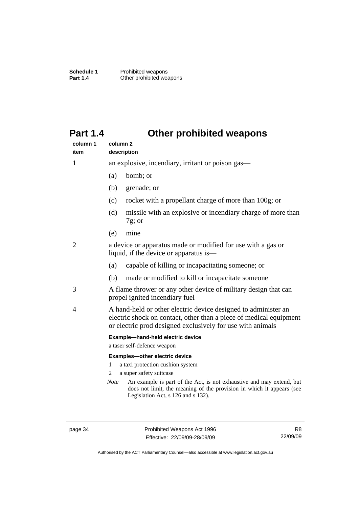# <span id="page-39-0"></span>**Part 1.4 Other prohibited weapons**

| column 1<br>item | column <sub>2</sub><br>description                                                                                                                                                                 |  |  |  |
|------------------|----------------------------------------------------------------------------------------------------------------------------------------------------------------------------------------------------|--|--|--|
| 1                | an explosive, incendiary, irritant or poison gas—                                                                                                                                                  |  |  |  |
|                  | bomb; or<br>(a)                                                                                                                                                                                    |  |  |  |
|                  | (b)<br>grenade; or                                                                                                                                                                                 |  |  |  |
|                  | rocket with a propellant charge of more than 100g; or<br>(c)                                                                                                                                       |  |  |  |
|                  | missile with an explosive or incendiary charge of more than<br>(d)<br>$7g$ ; or                                                                                                                    |  |  |  |
|                  | mine<br>(e)                                                                                                                                                                                        |  |  |  |
| 2                | a device or apparatus made or modified for use with a gas or<br>liquid, if the device or apparatus is—                                                                                             |  |  |  |
|                  | (a)<br>capable of killing or incapacitating someone; or                                                                                                                                            |  |  |  |
|                  | made or modified to kill or incapacitate someone<br>(b)                                                                                                                                            |  |  |  |
| 3                | A flame thrower or any other device of military design that can<br>propel ignited incendiary fuel                                                                                                  |  |  |  |
| 4                | A hand-held or other electric device designed to administer an<br>electric shock on contact, other than a piece of medical equipment<br>or electric prod designed exclusively for use with animals |  |  |  |
|                  | Example-hand-held electric device<br>a taser self-defence weapon                                                                                                                                   |  |  |  |
|                  | Examples-other electric device                                                                                                                                                                     |  |  |  |
|                  | a taxi protection cushion system<br>1                                                                                                                                                              |  |  |  |
|                  | a super safety suitcase<br>2                                                                                                                                                                       |  |  |  |
|                  | An example is part of the Act, is not exhaustive and may extend, but<br><b>Note</b><br>does not limit, the meaning of the provision in which it appears (see                                       |  |  |  |

page 34 Prohibited Weapons Act 1996 Effective: 22/09/09-28/09/09

Legislation Act, s 126 and s 132).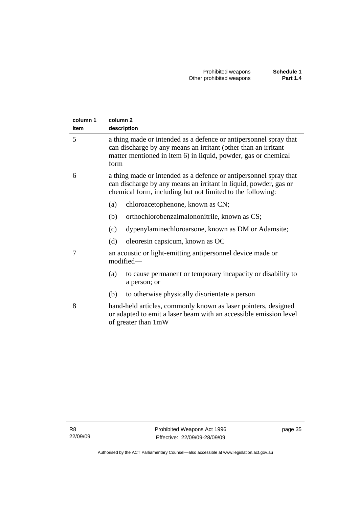| column 1 | column <sub>2</sub>                                                                                                                                                                                           |  |  |  |
|----------|---------------------------------------------------------------------------------------------------------------------------------------------------------------------------------------------------------------|--|--|--|
| item     | description                                                                                                                                                                                                   |  |  |  |
| 5        | a thing made or intended as a defence or antipersonnel spray that<br>can discharge by any means an irritant (other than an irritant<br>matter mentioned in item 6) in liquid, powder, gas or chemical<br>form |  |  |  |
| 6        | a thing made or intended as a defence or antipersonnel spray that<br>can discharge by any means an irritant in liquid, powder, gas or<br>chemical form, including but not limited to the following:           |  |  |  |
|          | (a)<br>chloroacetophenone, known as CN;                                                                                                                                                                       |  |  |  |
|          | (b)<br>orthochlorobenzalmalononitrile, known as CS;                                                                                                                                                           |  |  |  |
|          | dypenylaminechloroarsone, known as DM or Adamsite;<br>(c)                                                                                                                                                     |  |  |  |
|          | oleoresin capsicum, known as OC<br>(d)                                                                                                                                                                        |  |  |  |
| 7        | an acoustic or light-emitting antipersonnel device made or<br>modified-                                                                                                                                       |  |  |  |
|          | to cause permanent or temporary incapacity or disability to<br>(a)<br>a person; or                                                                                                                            |  |  |  |
|          | to otherwise physically disorientate a person<br>(b)                                                                                                                                                          |  |  |  |
| 8        | hand-held articles, commonly known as laser pointers, designed<br>or adapted to emit a laser beam with an accessible emission level<br>of greater than 1mW                                                    |  |  |  |

page 35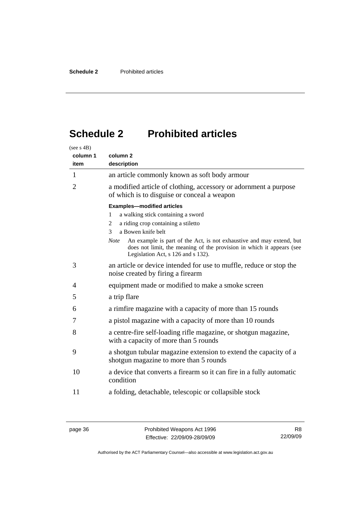# <span id="page-41-0"></span>**Schedule 2 Prohibited articles**

| (see s 4B)     |                                                                                                                                                                                                    |  |  |
|----------------|----------------------------------------------------------------------------------------------------------------------------------------------------------------------------------------------------|--|--|
| column 1       | column <sub>2</sub>                                                                                                                                                                                |  |  |
| item           | description                                                                                                                                                                                        |  |  |
| 1              | an article commonly known as soft body armour                                                                                                                                                      |  |  |
| $\overline{2}$ | a modified article of clothing, accessory or adornment a purpose<br>of which is to disguise or conceal a weapon                                                                                    |  |  |
|                | <b>Examples-modified articles</b>                                                                                                                                                                  |  |  |
|                | a walking stick containing a sword<br>1                                                                                                                                                            |  |  |
|                | a riding crop containing a stiletto<br>2                                                                                                                                                           |  |  |
|                | a Bowen knife belt<br>3                                                                                                                                                                            |  |  |
|                | An example is part of the Act, is not exhaustive and may extend, but<br><b>Note</b><br>does not limit, the meaning of the provision in which it appears (see<br>Legislation Act, s 126 and s 132). |  |  |
| 3              | an article or device intended for use to muffle, reduce or stop the<br>noise created by firing a firearm                                                                                           |  |  |
| 4              | equipment made or modified to make a smoke screen                                                                                                                                                  |  |  |
| 5              | a trip flare                                                                                                                                                                                       |  |  |
| 6              | a rimfire magazine with a capacity of more than 15 rounds                                                                                                                                          |  |  |
| 7              | a pistol magazine with a capacity of more than 10 rounds                                                                                                                                           |  |  |
| 8              | a centre-fire self-loading rifle magazine, or shotgun magazine,<br>with a capacity of more than 5 rounds                                                                                           |  |  |
| 9              | a shotgun tubular magazine extension to extend the capacity of a<br>shotgun magazine to more than 5 rounds                                                                                         |  |  |
| 10             | a device that converts a firearm so it can fire in a fully automatic<br>condition                                                                                                                  |  |  |
| 11             | a folding, detachable, telescopic or collapsible stock                                                                                                                                             |  |  |

R8 22/09/09

Authorised by the ACT Parliamentary Counsel—also accessible at www.legislation.act.gov.au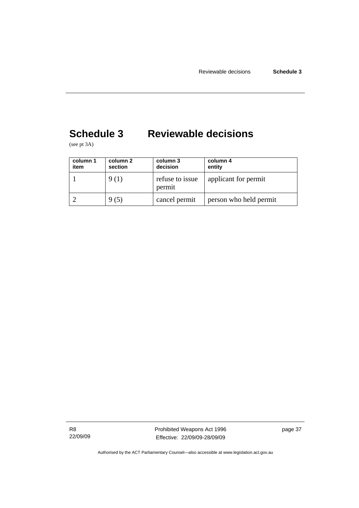# <span id="page-42-0"></span>**Schedule 3 Reviewable decisions**

(see pt 3A)

| column 1<br>item | column 2<br>section | column 3<br>decision      | column 4<br>entity     |
|------------------|---------------------|---------------------------|------------------------|
|                  | 9 (1)               | refuse to issue<br>permit | applicant for permit   |
|                  | 9 (5)               | cancel permit             | person who held permit |

R8 22/09/09 Prohibited Weapons Act 1996 Effective: 22/09/09-28/09/09

page 37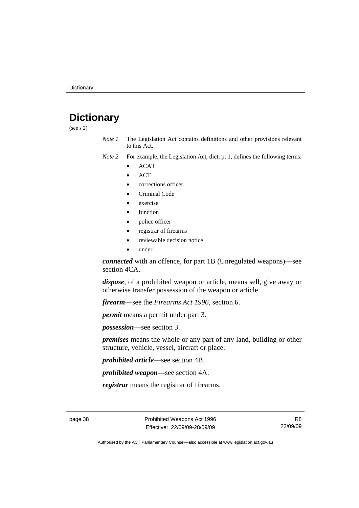# <span id="page-43-0"></span>**Dictionary**

(see s 2)

- *Note 1* The Legislation Act contains definitions and other provisions relevant to this Act.
- *Note 2* For example, the Legislation Act, dict, pt 1, defines the following terms:
	- ACAT
	- ACT
	- corrections officer
	- Criminal Code
	- exercise
	- **function**
	- police officer
	- registrar of firearms
	- reviewable decision notice
	- under.

*connected* with an offence, for part 1B (Unregulated weapons)—see section 4CA.

*dispose*, of a prohibited weapon or article, means sell, give away or otherwise transfer possession of the weapon or article.

*firearm*—see the *Firearms Act 1996*, section 6.

*permit* means a permit under part 3.

*possession*—see section 3.

*premises* means the whole or any part of any land, building or other structure, vehicle, vessel, aircraft or place.

*prohibited article*—see section 4B.

*prohibited weapon*—see section 4A.

*registrar* means the registrar of firearms.

page 38 Prohibited Weapons Act 1996 Effective: 22/09/09-28/09/09

R8 22/09/09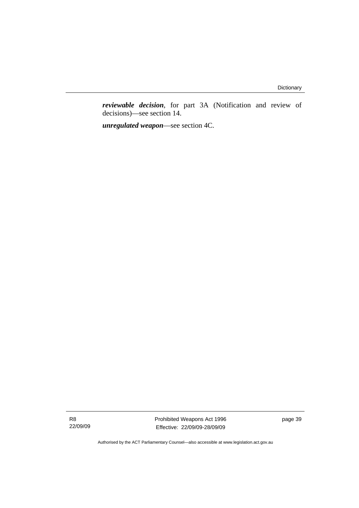*reviewable decision*, for part 3A (Notification and review of decisions)—see section 14.

*unregulated weapon*—see section 4C.

R8 22/09/09 Prohibited Weapons Act 1996 Effective: 22/09/09-28/09/09

page 39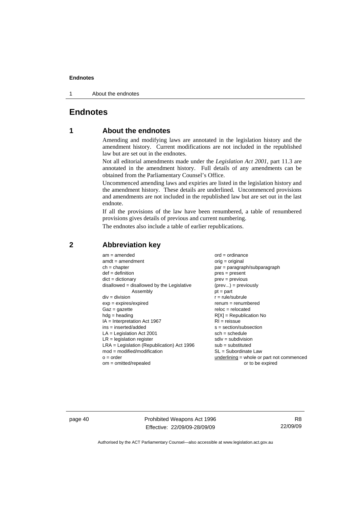<span id="page-45-0"></span>1 About the endnotes

### **Endnotes**

### **1 About the endnotes**

Amending and modifying laws are annotated in the legislation history and the amendment history. Current modifications are not included in the republished law but are set out in the endnotes.

Not all editorial amendments made under the *Legislation Act 2001*, part 11.3 are annotated in the amendment history. Full details of any amendments can be obtained from the Parliamentary Counsel's Office.

Uncommenced amending laws and expiries are listed in the legislation history and the amendment history. These details are underlined. Uncommenced provisions and amendments are not included in the republished law but are set out in the last endnote.

If all the provisions of the law have been renumbered, a table of renumbered provisions gives details of previous and current numbering.

The endnotes also include a table of earlier republications.

| $am = amended$                               | $ord = ordinance$                         |
|----------------------------------------------|-------------------------------------------|
| $amdt = amendment$                           | orig = original                           |
| $ch = chapter$                               | par = paragraph/subparagraph              |
| $def = definition$                           | $pres = present$                          |
| $dict = dictionary$                          | $prev = previous$                         |
| $disallowed = disallowed by the Legislative$ | $(\text{prev}) = \text{previously}$       |
| Assembly                                     | $pt = part$                               |
| $div = division$                             | $r = rule/subrule$                        |
| $exp = expires/expired$                      | $renum = renumbered$                      |
| $Gaz = gazette$                              | $reloc = relocated$                       |
| $h dq =$ heading                             | $R[X]$ = Republication No                 |
| $IA = Interpretation Act 1967$               | $RI = reissue$                            |
| $ins = inserted/added$                       | $s = section/subsection$                  |
| $LA =$ Legislation Act 2001                  | $sch = schedule$                          |
| $LR =$ legislation register                  | $sdiv = subdivision$                      |
| $LRA =$ Legislation (Republication) Act 1996 | $sub = substitution$                      |
| $mod = modified/modification$                | SL = Subordinate Law                      |
| $o = order$                                  | underlining = whole or part not commenced |
| $om = omitted/report$                        | or to be expired                          |

#### **2 Abbreviation key**

page 40 **Prohibited Weapons Act 1996** Effective: 22/09/09-28/09/09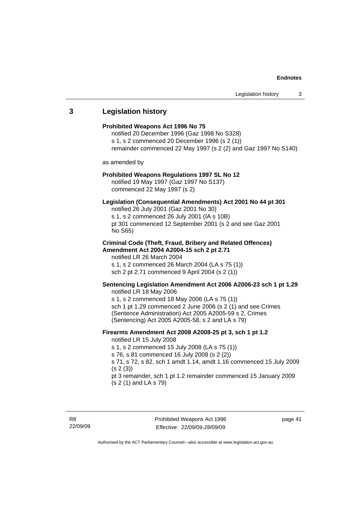# <span id="page-46-0"></span>**3 Legislation history**

| <b>Prohibited Weapons Act 1996 No 75</b><br>notified 20 December 1996 (Gaz 1998 No S328)<br>s 1, s 2 commenced 20 December 1996 (s 2 (1))<br>remainder commenced 22 May 1997 (s 2 (2) and Gaz 1997 No S140)                                                                                                                                                         |
|---------------------------------------------------------------------------------------------------------------------------------------------------------------------------------------------------------------------------------------------------------------------------------------------------------------------------------------------------------------------|
| as amended by                                                                                                                                                                                                                                                                                                                                                       |
| <b>Prohibited Weapons Regulations 1997 SL No 12</b><br>notified 19 May 1997 (Gaz 1997 No S137)<br>commenced 22 May 1997 (s 2)                                                                                                                                                                                                                                       |
| Legislation (Consequential Amendments) Act 2001 No 44 pt 301<br>notified 26 July 2001 (Gaz 2001 No 30)<br>s 1, s 2 commenced 26 July 2001 (IA s 10B)<br>pt 301 commenced 12 September 2001 (s 2 and see Gaz 2001<br>No S65)                                                                                                                                         |
| <b>Criminal Code (Theft, Fraud, Bribery and Related Offences)</b><br>Amendment Act 2004 A2004-15 sch 2 pt 2.71<br>notified LR 26 March 2004<br>s 1, s 2 commenced 26 March 2004 (LA s 75 (1))<br>sch 2 pt 2.71 commenced 9 April 2004 (s 2 (1))                                                                                                                     |
| Sentencing Legislation Amendment Act 2006 A2006-23 sch 1 pt 1.29<br>notified LR 18 May 2006<br>s 1, s 2 commenced 18 May 2006 (LA s 75 (1))<br>sch 1 pt 1.29 commenced 2 June 2006 (s 2 (1) and see Crimes<br>(Sentence Administration) Act 2005 A2005-59 s 2, Crimes<br>(Sentencing) Act 2005 A2005-58, s 2 and LA s 79)                                           |
| Firearms Amendment Act 2008 A2008-25 pt 3, sch 1 pt 1.2<br>notified LR 15 July 2008<br>s 1, s 2 commenced 15 July 2008 (LA s 75 (1))<br>s 76, s 81 commenced 16 July 2008 (s 2 (2))<br>s 71, s 72, s 82, sch 1 amdt 1.14, amdt 1.16 commenced 15 July 2009<br>(s 2(3))<br>pt 3 remainder, sch 1 pt 1.2 remainder commenced 15 January 2009<br>(s 2 (1) and LA s 79) |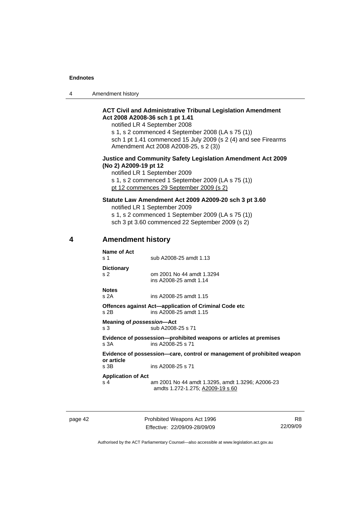<span id="page-47-0"></span>4 Amendment history

#### **ACT Civil and Administrative Tribunal Legislation Amendment Act 2008 A2008-36 sch 1 pt 1.41**

notified LR 4 September 2008

s 1, s 2 commenced 4 September 2008 (LA s 75 (1)) sch 1 pt 1.41 commenced 15 July 2009 (s 2 (4) and see Firearms Amendment Act 2008 A2008-25, s 2 (3))

#### **Justice and Community Safety Legislation Amendment Act 2009 (No 2) A2009-19 pt 12**

notified LR 1 September 2009 s 1, s 2 commenced 1 September 2009 (LA s 75 (1)) pt 12 commences 29 September 2009 (s 2)

#### **Statute Law Amendment Act 2009 A2009-20 sch 3 pt 3.60**

notified LR 1 September 2009

s 1, s 2 commenced 1 September 2009 (LA s 75 (1)) sch 3 pt 3.60 commenced 22 September 2009 (s 2)

#### **4 Amendment history**

| Name of Act<br>$\boldsymbol{\mathsf{s}}$ 1                                            | sub A2008-25 amdt 1.13                                                                  |  |  |
|---------------------------------------------------------------------------------------|-----------------------------------------------------------------------------------------|--|--|
| <b>Dictionary</b><br>S <sub>2</sub>                                                   | om 2001 No 44 amdt 1.3294<br>ins A2008-25 amdt 1.14                                     |  |  |
| <b>Notes</b><br>s 2A                                                                  | ins A2008-25 amdt 1.15                                                                  |  |  |
| $s$ 2B                                                                                | Offences against Act-application of Criminal Code etc<br>ins A2008-25 amdt 1.15         |  |  |
| Meaning of possession-Act<br>s <sub>3</sub>                                           | sub A2008-25 s 71                                                                       |  |  |
| s 3A                                                                                  | Evidence of possession--prohibited weapons or articles at premises<br>ins A2008-25 s 71 |  |  |
| Evidence of possession—care, control or management of prohibited weapon<br>or article |                                                                                         |  |  |
| s 3B                                                                                  | ins A2008-25 s 71                                                                       |  |  |
| <b>Application of Act</b><br>s <sub>4</sub>                                           | am 2001 No 44 amdt 1.3295, amdt 1.3296; A2006-23<br>amdts 1.272-1.275; A2009-19 s 60    |  |  |

page 42 Prohibited Weapons Act 1996 Effective: 22/09/09-28/09/09

R8 22/09/09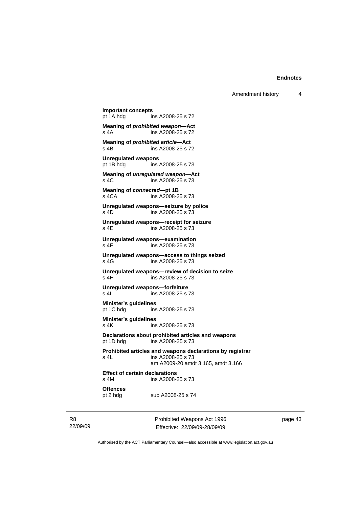Amendment history 4

**Important concepts**  pt 1A hdg ins A2008-25 s 72 **Meaning of** *prohibited weapon***—Act**  s 4A ins A2008-25 s 72 **Meaning of** *prohibited article***—Act s** 4B **ins A2008-25 s** 7 ins A2008-25 s 72 **Unregulated weapons**  pt 1B hdg ins A2008-25 s 73 **Meaning of** *unregulated weapon***—Act**  s 4C ins A2008-25 s 73 **Meaning of** *connected***—pt 1B** s 4CA ins A2008-2 ins A2008-25 s 73 **Unregulated weapons—seizure by police**  s 4D ins A2008-25 s 73 **Unregulated weapons—receipt for seizure**  s 4E ins A2008-25 s 73 **Unregulated weapons—examination**  s 4F ins A2008-25 s 73 **Unregulated weapons—access to things seized**  ins A2008-25 s 73 **Unregulated weapons—review of decision to seize**  s 4H ins A2008-25 s 73 **Unregulated weapons—forfeiture**  ins A2008-25 s 73 **Minister's guidelines**  pt 1C hdg ins A2008-25 s 73 **Minister's guidelines**  s 4K ins A2008-25 s 73 **Declarations about prohibited articles and weapons**  pt 1D hdg ins A2008-25 s 73 **Prohibited articles and weapons declarations by registrar**  s 4L ins A2008-25 s 73 am A2009-20 amdt 3.165, amdt 3.166 **Effect of certain declarations**  ins A2008-25 s 73 **Offences**  pt 2 hdg sub A2008-25 s 74

R8 22/09/09 Prohibited Weapons Act 1996 Effective: 22/09/09-28/09/09

page 43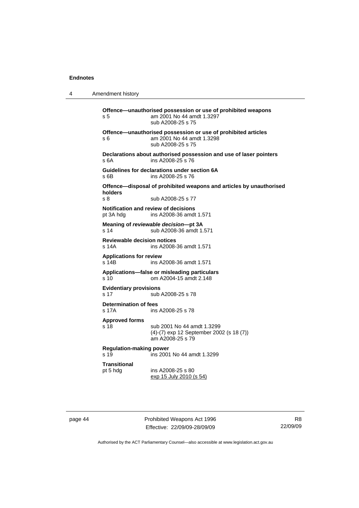| $\overline{A}$ | Amendment history |
|----------------|-------------------|
|----------------|-------------------|

**Offence—unauthorised possession or use of prohibited weapons**  s 5 am 2001 No 44 amdt 1.3297 sub A2008-25 s 75 **Offence—unauthorised possession or use of prohibited articles**  s 6 am 2001 No 44 amdt 1.3298 sub A2008-25 s 75 **Declarations about authorised possession and use of laser pointers**  s 6A ins A2008-25 s 76 **Guidelines for declarations under section 6A**  s 6B ins A2008-25 s 76 **Offence—disposal of prohibited weapons and articles by unauthorised holders**  sub A2008-25 s 77 **Notification and review of decisions**  pt 3A hdg ins A2008-36 amdt 1.571 **Meaning of** *reviewable decision—***pt 3A**  s 14 sub A2008-36 amdt 1.571 **Reviewable decision notices**  s 14A ins A2008-36 amdt 1.571 **Applications for review**  ins A2008-36 amdt 1.571 **Applications—false or misleading particulars**  s 10 om A2004-15 amdt 2.148 **Evidentiary provisions**  s 17 sub A2008-25 s 78 **Determination of fees**<br>s 17A **ins** ins A2008-25 s 78 **Approved forms**  s 18 sub 2001 No 44 amdt 1.3299 (4)-(7) exp 12 September 2002 (s 18 (7)) am A2008-25 s 79 **Regulation-making power**  ins 2001 No 44 amdt 1.3299 **Transitional**  pt 5 hdg ins A2008-25 s 80 exp 15 July 2010 (s 54)

page 44 **Prohibited Weapons Act 1996** Effective: 22/09/09-28/09/09

R8 22/09/09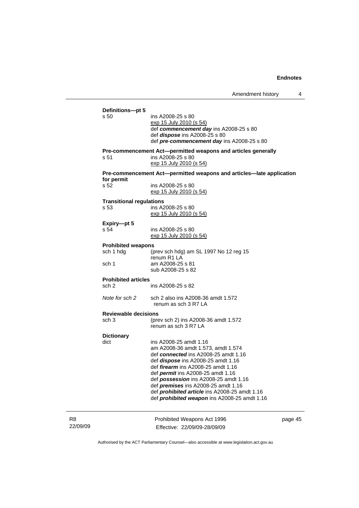|          |                                         | <u>TULIOLIULIULII LIIJUTY</u>                                                                                        |         |
|----------|-----------------------------------------|----------------------------------------------------------------------------------------------------------------------|---------|
|          | Definitions-pt 5                        |                                                                                                                      |         |
|          | s 50                                    | ins A2008-25 s 80<br><u>exp 15 July 2010 (s 54)</u><br>def commencement day ins A2008-25 s 80                        |         |
|          |                                         | def <i>dispose</i> ins A2008-25 s 80<br>def pre-commencement day ins A2008-25 s 80                                   |         |
|          | s 51                                    | Pre-commencement Act-permitted weapons and articles generally<br>ins A2008-25 s 80<br><u>exp 15 July 2010 (s 54)</u> |         |
|          | for permit                              | Pre-commencement Act-permitted weapons and articles-late application                                                 |         |
|          | s 52                                    | ins A2008-25 s 80<br><u>exp 15 July 2010 (s 54)</u>                                                                  |         |
|          | <b>Transitional regulations</b><br>s 53 | ins A2008-25 s 80<br>exp 15 July 2010 (s 54)                                                                         |         |
|          | Expiry-pt 5<br>s 54                     | ins A2008-25 s 80<br><u>exp 15 July 2010 (s 54)</u>                                                                  |         |
|          | <b>Prohibited weapons</b>               |                                                                                                                      |         |
|          | sch 1 hdg                               | (prev sch hdg) am SL 1997 No 12 reg 15<br>renum R1 LA                                                                |         |
|          | sch 1                                   | am A2008-25 s 81<br>sub A2008-25 s 82                                                                                |         |
|          | <b>Prohibited articles</b>              |                                                                                                                      |         |
|          | sch 2                                   | ins A2008-25 s 82                                                                                                    |         |
|          | Note for sch 2                          | sch 2 also ins A2008-36 amdt 1.572<br>renum as sch 3 R7 LA                                                           |         |
|          | <b>Reviewable decisions</b>             |                                                                                                                      |         |
|          | sch 3                                   | (prev sch 2) ins A2008-36 amdt 1.572<br>renum as sch 3 R7 LA                                                         |         |
|          | <b>Dictionary</b>                       |                                                                                                                      |         |
|          | dict                                    | ins A2008-25 amdt 1.16                                                                                               |         |
|          |                                         | am A2008-36 amdt 1.573, amdt 1.574                                                                                   |         |
|          |                                         | def connected ins A2008-25 amdt 1.16                                                                                 |         |
|          |                                         | def dispose ins A2008-25 amdt 1.16                                                                                   |         |
|          |                                         | def <i>firearm</i> ins A2008-25 amdt 1.16                                                                            |         |
|          |                                         | def <i>permit</i> ins A2008-25 amdt 1.16<br>def possession ins A2008-25 amdt 1.16                                    |         |
|          |                                         | def <i>premises</i> ins A2008-25 amdt 1.16                                                                           |         |
|          |                                         | def <i>prohibited article</i> ins A2008-25 amdt 1.16                                                                 |         |
|          |                                         | def <i>prohibited</i> weapon ins A2008-25 amdt 1.16                                                                  |         |
| R8       |                                         | Prohibited Weapons Act 1996                                                                                          | page 45 |
| 22/09/09 |                                         | Effective: 22/09/09-28/09/09                                                                                         |         |
|          |                                         |                                                                                                                      |         |

Authorised by the ACT Parliamentary Counsel—also accessible at www.legislation.act.gov.au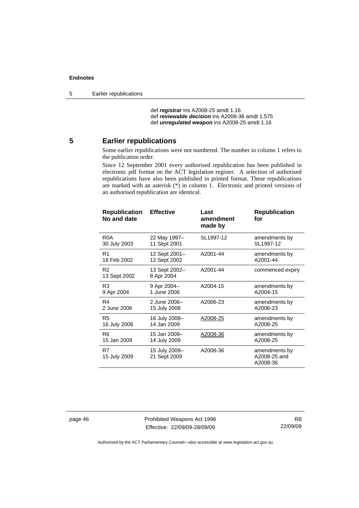<span id="page-51-0"></span>5 Earlier republications

 def *registrar* ins A2008-25 amdt 1.16 def *reviewable decision* ins A2008-36 amdt 1.575 def *unregulated weapon* ins A2008-25 amdt 1.16

#### **5 Earlier republications**

Some earlier republications were not numbered. The number in column 1 refers to the publication order.

Since 12 September 2001 every authorised republication has been published in electronic pdf format on the ACT legislation register. A selection of authorised republications have also been published in printed format. These republications are marked with an asterisk (\*) in column 1. Electronic and printed versions of an authorised republication are identical.

| <b>Republication</b><br>No and date | <b>Effective</b>              | Last<br>amendment<br>made by | <b>Republication</b><br>for               |
|-------------------------------------|-------------------------------|------------------------------|-------------------------------------------|
| R0A                                 | 22 May 1997-                  | SL1997-12                    | amendments by                             |
| 30 July 2003                        | 11 Sept 2001                  |                              | SL1997-12                                 |
| R <sub>1</sub>                      | 12 Sept 2001-                 | A2001-44                     | amendments by                             |
| 18 Feb 2002                         | 12 Sept 2002                  |                              | A2001-44                                  |
| R <sub>2</sub><br>13 Sept 2002      | 13 Sept 2002-<br>8 Apr 2004   | A2001-44                     | commenced expiry                          |
| R3                                  | 9 Apr 2004-                   | A2004-15                     | amendments by                             |
| 9 Apr 2004                          | 1 June 2006                   |                              | A2004-15                                  |
| R4                                  | 2 June 2006-                  | A2006-23                     | amendments by                             |
| 2 June 2006                         | 15 July 2008                  |                              | A2006-23                                  |
| R <sub>5</sub>                      | 16 July 2008-                 | A2008-25                     | amendments by                             |
| 16 July 2008                        | 14 Jan 2009                   |                              | A2008-25                                  |
| R6                                  | 15 Jan 2009-                  | A2008-36                     | amendments by                             |
| 15 Jan 2009                         | 14 July 2009                  |                              | A2008-25                                  |
| R7<br>15 July 2009                  | 15 July 2009-<br>21 Sept 2009 | A2008-36                     | amendments by<br>A2008-25 and<br>A2008-36 |

page 46 Prohibited Weapons Act 1996 Effective: 22/09/09-28/09/09